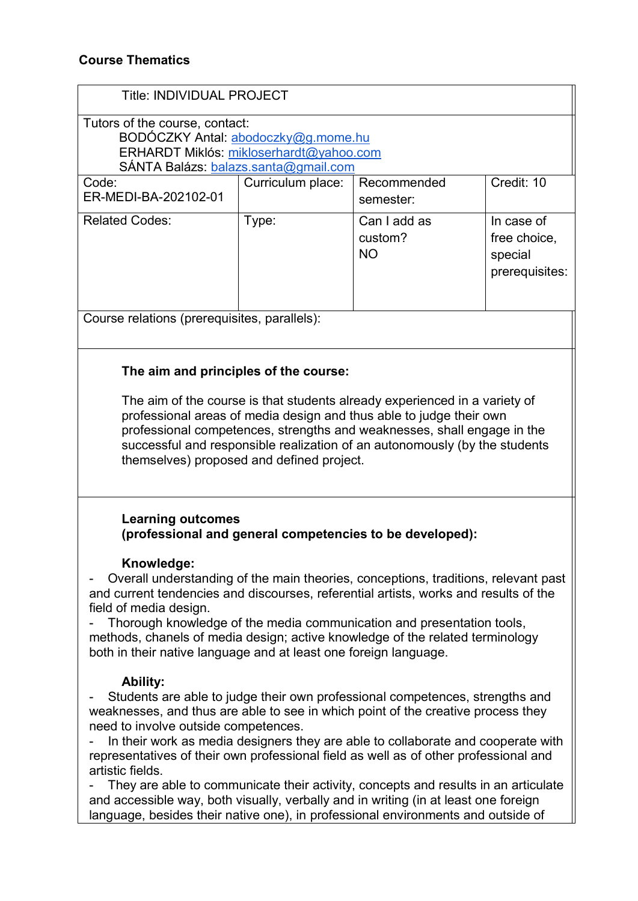| <b>Title: INDIVIDUAL PROJECT</b>                                                                                                               |                   |                      |                           |                                                                                 |
|------------------------------------------------------------------------------------------------------------------------------------------------|-------------------|----------------------|---------------------------|---------------------------------------------------------------------------------|
| Tutors of the course, contact:<br>BODÓCZKY Antal: abodoczky@g.mome.hu                                                                          |                   |                      |                           |                                                                                 |
|                                                                                                                                                |                   |                      |                           | ERHARDT Miklós: mikloserhardt@yahoo.com<br>SÁNTA Balázs: balazs.santa@gmail.com |
| Code:                                                                                                                                          | Curriculum place: | Recommended          | Credit: 10                |                                                                                 |
| ER-MEDI-BA-202102-01                                                                                                                           |                   | semester:            |                           |                                                                                 |
| <b>Related Codes:</b>                                                                                                                          | Type:             | Can I add as         | In case of                |                                                                                 |
|                                                                                                                                                |                   | custom?<br><b>NO</b> | free choice,              |                                                                                 |
|                                                                                                                                                |                   |                      | special<br>prerequisites: |                                                                                 |
|                                                                                                                                                |                   |                      |                           |                                                                                 |
|                                                                                                                                                |                   |                      |                           |                                                                                 |
| Course relations (prerequisites, parallels):                                                                                                   |                   |                      |                           |                                                                                 |
|                                                                                                                                                |                   |                      |                           |                                                                                 |
| The aim and principles of the course:                                                                                                          |                   |                      |                           |                                                                                 |
|                                                                                                                                                |                   |                      |                           |                                                                                 |
| The aim of the course is that students already experienced in a variety of                                                                     |                   |                      |                           |                                                                                 |
| professional areas of media design and thus able to judge their own<br>professional competences, strengths and weaknesses, shall engage in the |                   |                      |                           |                                                                                 |
| successful and responsible realization of an autonomously (by the students                                                                     |                   |                      |                           |                                                                                 |
| themselves) proposed and defined project.                                                                                                      |                   |                      |                           |                                                                                 |
|                                                                                                                                                |                   |                      |                           |                                                                                 |
|                                                                                                                                                |                   |                      |                           |                                                                                 |
| <b>Learning outcomes</b>                                                                                                                       |                   |                      |                           |                                                                                 |
| (professional and general competencies to be developed):                                                                                       |                   |                      |                           |                                                                                 |
| Knowledge:                                                                                                                                     |                   |                      |                           |                                                                                 |
| Overall understanding of the main theories, conceptions, traditions, relevant past                                                             |                   |                      |                           |                                                                                 |
| and current tendencies and discourses, referential artists, works and results of the                                                           |                   |                      |                           |                                                                                 |
| field of media design.<br>Thorough knowledge of the media communication and presentation tools,                                                |                   |                      |                           |                                                                                 |
| methods, chanels of media design; active knowledge of the related terminology                                                                  |                   |                      |                           |                                                                                 |
| both in their native language and at least one foreign language.                                                                               |                   |                      |                           |                                                                                 |
| <b>Ability:</b>                                                                                                                                |                   |                      |                           |                                                                                 |
| Students are able to judge their own professional competences, strengths and                                                                   |                   |                      |                           |                                                                                 |
| weaknesses, and thus are able to see in which point of the creative process they                                                               |                   |                      |                           |                                                                                 |
| need to involve outside competences.<br>In their work as media designers they are able to collaborate and cooperate with                       |                   |                      |                           |                                                                                 |
| representatives of their own professional field as well as of other professional and                                                           |                   |                      |                           |                                                                                 |
| artistic fields.                                                                                                                               |                   |                      |                           |                                                                                 |

- They are able to communicate their activity, concepts and results in an articulate and accessible way, both visually, verbally and in writing (in at least one foreign language, besides their native one), in professional environments and outside of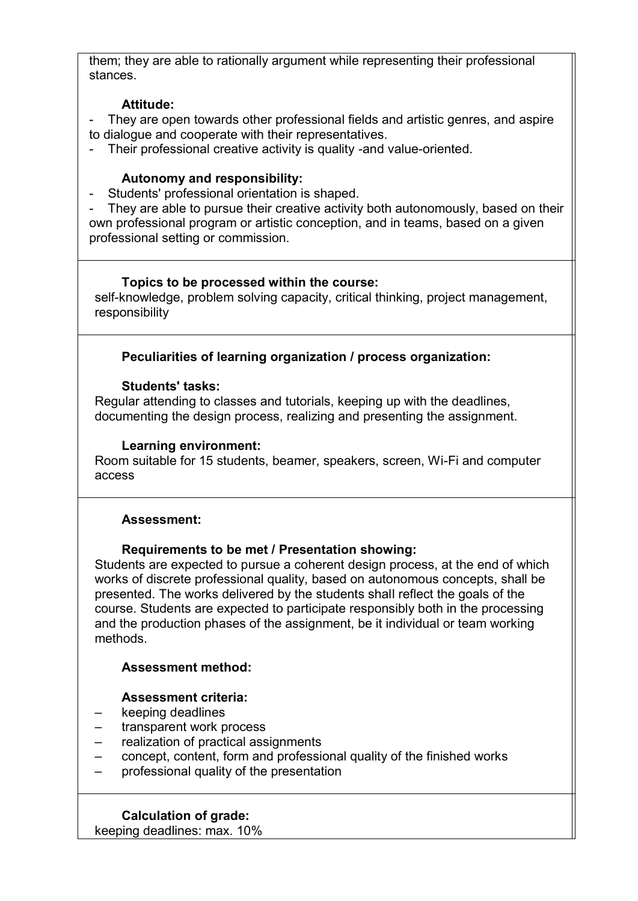them; they are able to rationally argument while representing their professional stances.

## **Attitude:**

- They are open towards other professional fields and artistic genres, and aspire to dialogue and cooperate with their representatives.
- Their professional creative activity is quality -and value-oriented.

### **Autonomy and responsibility:**

- Students' professional orientation is shaped.

- They are able to pursue their creative activity both autonomously, based on their own professional program or artistic conception, and in teams, based on a given professional setting or commission.

#### **Topics to be processed within the course:**

self-knowledge, problem solving capacity, critical thinking, project management, responsibility

# **Peculiarities of learning organization / process organization:**

## **Students' tasks:**

Regular attending to classes and tutorials, keeping up with the deadlines, documenting the design process, realizing and presenting the assignment.

## **Learning environment:**

Room suitable for 15 students, beamer, speakers, screen, Wi-Fi and computer access

#### **Assessment:**

# **Requirements to be met / Presentation showing:**

Students are expected to pursue a coherent design process, at the end of which works of discrete professional quality, based on autonomous concepts, shall be presented. The works delivered by the students shall reflect the goals of the course. Students are expected to participate responsibly both in the processing and the production phases of the assignment, be it individual or team working methods.

#### **Assessment method:**

# **Assessment criteria:**

- keeping deadlines
- transparent work process
- realization of practical assignments
- concept, content, form and professional quality of the finished works
- professional quality of the presentation

#### **Calculation of grade:**

keeping deadlines: max. 10%